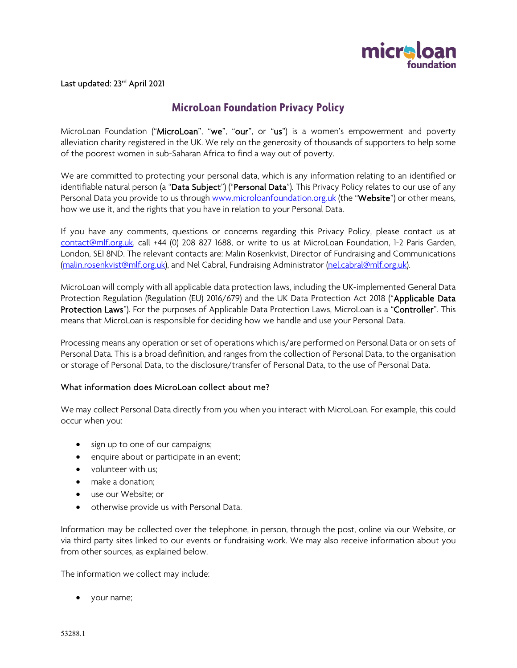

Last updated: 23<sup>rd</sup> April 2021

# **MicroLoan Foundation Privacy Policy**

MicroLoan Foundation ("MicroLoan", "we", "our", or "us") is a women's empowerment and poverty alleviation charity registered in the UK. We rely on the generosity of thousands of supporters to help some of the poorest women in sub-Saharan Africa to find a way out of poverty.

We are committed to protecting your personal data, which is any information relating to an identified or identifiable natural person (a "Data Subject") ("Personal Data"). This Privacy Policy relates to our use of any Personal Data you provide to us through [www.microloanfoundation.org.uk](http://www.microloanfoundation.org.uk/) (the "Website") or other means, how we use it, and the rights that you have in relation to your Personal Data.

If you have any comments, questions or concerns regarding this Privacy Policy, please contact us at [contact@mlf.org.uk,](mailto:contact@mlf.org.uk) call +44 (0) 208 827 1688, or write to us at MicroLoan Foundation, 1-2 Paris Garden, London, SE1 8ND. The relevant contacts are: Malin Rosenkvist, Director of Fundraising and Communications [\(malin.rosenkvist@mlf.org.uk\)](mailto:malin.rosenkvist@mlf.org.uk), and Nel Cabral, Fundraising Administrator [\(nel.cabral@mlf.org.uk\)](mailto:nel.cabral@mlf.org.uk).

MicroLoan will comply with all applicable data protection laws, including the UK-implemented General Data Protection Regulation (Regulation (EU) 2016/679) and the UK Data Protection Act 2018 ("Applicable Data Protection Laws"). For the purposes of Applicable Data Protection Laws, MicroLoan is a "Controller". This means that MicroLoan is responsible for deciding how we handle and use your Personal Data.

Processing means any operation or set of operations which is/are performed on Personal Data or on sets of Personal Data. This is a broad definition, and ranges from the collection of Personal Data, to the organisation or storage of Personal Data, to the disclosure/transfer of Personal Data, to the use of Personal Data.

#### What information does MicroLoan collect about me?

We may collect Personal Data directly from you when you interact with MicroLoan. For example, this could occur when you:

- sign up to one of our campaigns;
- enquire about or participate in an event;
- volunteer with us;
- make a donation;
- use our Website; or
- otherwise provide us with Personal Data.

Information may be collected over the telephone, in person, through the post, online via our Website, or via third party sites linked to our events or fundraising work. We may also receive information about you from other sources, as explained below.

The information we collect may include:

• your name;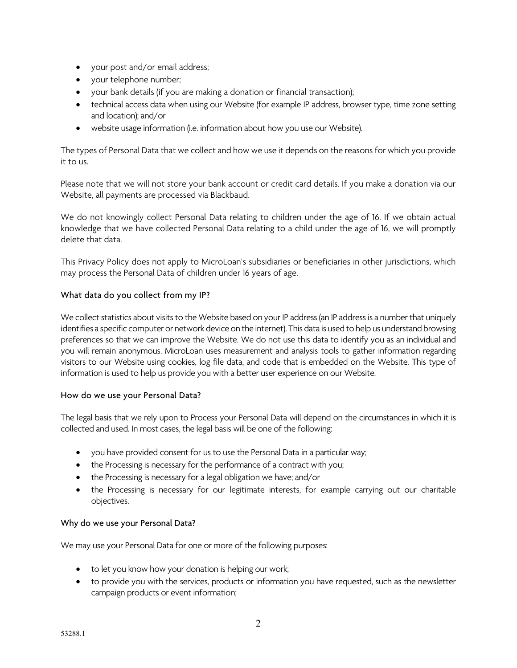- your post and/or email address;
- your telephone number;
- your bank details (if you are making a donation or financial transaction);
- technical access data when using our Website (for example IP address, browser type, time zone setting and location); and/or
- website usage information (i.e. information about how you use our Website).

The types of Personal Data that we collect and how we use it depends on the reasons for which you provide it to us.

Please note that we will not store your bank account or credit card details. If you make a donation via our Website, all payments are processed via Blackbaud.

We do not knowingly collect Personal Data relating to children under the age of 16. If we obtain actual knowledge that we have collected Personal Data relating to a child under the age of 16, we will promptly delete that data.

This Privacy Policy does not apply to MicroLoan's subsidiaries or beneficiaries in other jurisdictions, which may process the Personal Data of children under 16 years of age.

#### What data do you collect from my IP?

We collect statistics about visits to the Website based on your IP address (an IP address is a number that uniquely identifies a specific computer or network device on the internet). This data is used to help us understand browsing preferences so that we can improve the Website. We do not use this data to identify you as an individual and you will remain anonymous. MicroLoan uses measurement and analysis tools to gather information regarding visitors to our Website using cookies, log file data, and code that is embedded on the Website. This type of information is used to help us provide you with a better user experience on our Website.

#### How do we use your Personal Data?

The legal basis that we rely upon to Process your Personal Data will depend on the circumstances in which it is collected and used. In most cases, the legal basis will be one of the following:

- you have provided consent for us to use the Personal Data in a particular way;
- the Processing is necessary for the performance of a contract with you;
- the Processing is necessary for a legal obligation we have; and/or
- the Processing is necessary for our legitimate interests, for example carrying out our charitable objectives.

#### Why do we use your Personal Data?

We may use your Personal Data for one or more of the following purposes:

- to let you know how your donation is helping our work;
- to provide you with the services, products or information you have requested, such as the newsletter campaign products or event information;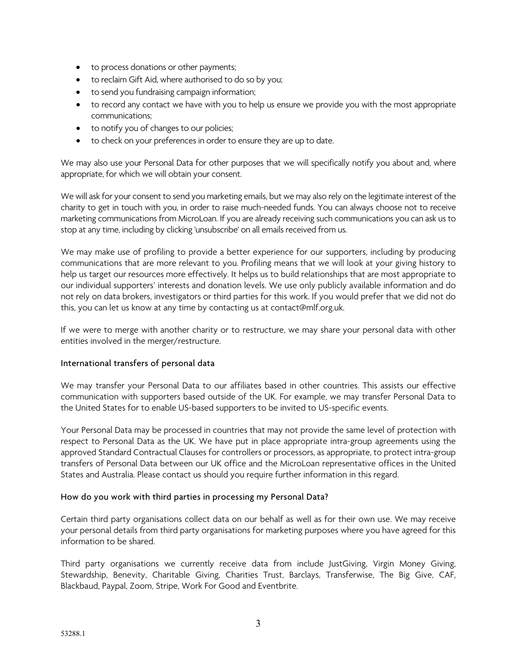- to process donations or other payments;
- to reclaim Gift Aid, where authorised to do so by you;
- to send you fundraising campaign information;
- to record any contact we have with you to help us ensure we provide you with the most appropriate communications;
- to notify you of changes to our policies;
- to check on your preferences in order to ensure they are up to date.

We may also use your Personal Data for other purposes that we will specifically notify you about and, where appropriate, for which we will obtain your consent.

We will ask for your consent to send you marketing emails, but we may also rely on the legitimate interest of the charity to get in touch with you, in order to raise much-needed funds. You can always choose not to receive marketing communications from MicroLoan. If you are already receiving such communications you can ask us to stop at any time, including by clicking 'unsubscribe' on all emails received from us.

We may make use of profiling to provide a better experience for our supporters, including by producing communications that are more relevant to you. Profiling means that we will look at your giving history to help us target our resources more effectively. It helps us to build relationships that are most appropriate to our individual supporters' interests and donation levels. We use only publicly available information and do not rely on data brokers, investigators or third parties for this work. If you would prefer that we did not do this, you can let us know at any time by contacting us at contact@mlf.org.uk.

If we were to merge with another charity or to restructure, we may share your personal data with other entities involved in the merger/restructure.

#### International transfers of personal data

We may transfer your Personal Data to our affiliates based in other countries. This assists our effective communication with supporters based outside of the UK. For example, we may transfer Personal Data to the United States for to enable US-based supporters to be invited to US-specific events.

Your Personal Data may be processed in countries that may not provide the same level of protection with respect to Personal Data as the UK. We have put in place appropriate intra-group agreements using the approved Standard Contractual Clauses for controllers or processors, as appropriate, to protect intra-group transfers of Personal Data between our UK office and the MicroLoan representative offices in the United States and Australia. Please contact us should you require further information in this regard.

#### How do you work with third parties in processing my Personal Data?

Certain third party organisations collect data on our behalf as well as for their own use. We may receive your personal details from third party organisations for marketing purposes where you have agreed for this information to be shared.

Third party organisations we currently receive data from include JustGiving, Virgin Money Giving, Stewardship, Benevity, Charitable Giving, Charities Trust, Barclays, Transferwise, The Big Give, CAF, Blackbaud, Paypal, Zoom, Stripe, Work For Good and Eventbrite.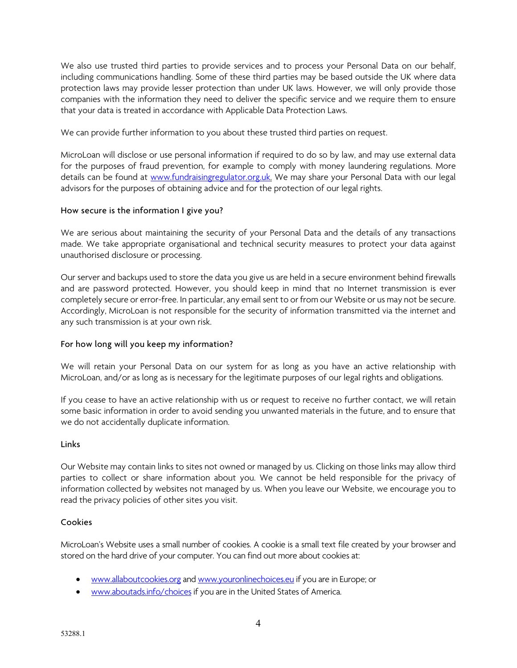We also use trusted third parties to provide services and to process your Personal Data on our behalf, including communications handling. Some of these third parties may be based outside the UK where data protection laws may provide lesser protection than under UK laws. However, we will only provide those companies with the information they need to deliver the specific service and we require them to ensure that your data is treated in accordance with Applicable Data Protection Laws.

We can provide further information to you about these trusted third parties on request.

MicroLoan will disclose or use personal information if required to do so by law, and may use external data for the purposes of fraud prevention, for example to comply with money laundering regulations. More details can be found at [www.fundraisingregulator.org.uk.](http://www.fundraisingregulator.org.uk/) We may share your Personal Data with our legal advisors for the purposes of obtaining advice and for the protection of our legal rights.

# How secure is the information I give you?

We are serious about maintaining the security of your Personal Data and the details of any transactions made. We take appropriate organisational and technical security measures to protect your data against unauthorised disclosure or processing.

Our server and backups used to store the data you give us are held in a secure environment behind firewalls and are password protected. However, you should keep in mind that no Internet transmission is ever completely secure or error-free. In particular, any email sent to or from our Website or us may not be secure. Accordingly, MicroLoan is not responsible for the security of information transmitted via the internet and any such transmission is at your own risk.

# For how long will you keep my information?

We will retain your Personal Data on our system for as long as you have an active relationship with MicroLoan, and/or as long as is necessary for the legitimate purposes of our legal rights and obligations.

If you cease to have an active relationship with us or request to receive no further contact, we will retain some basic information in order to avoid sending you unwanted materials in the future, and to ensure that we do not accidentally duplicate information.

## Links

Our Website may contain links to sites not owned or managed by us. Clicking on those links may allow third parties to collect or share information about you. We cannot be held responsible for the privacy of information collected by websites not managed by us. When you leave our Website, we encourage you to read the privacy policies of other sites you visit.

## Cookies

MicroLoan's Website uses a small number of cookies. A cookie is a small text file created by your browser and stored on the hard drive of your computer. You can find out more about cookies at:

- [www.allaboutcookies.org](http://www.allaboutcookies.org/) an[d www.youronlinechoices.eu](http://www.youronlinechoices.eu/) if you are in Europe; or
- [www.aboutads.info/choices](http://www.aboutads.info/choices) if you are in the United States of America.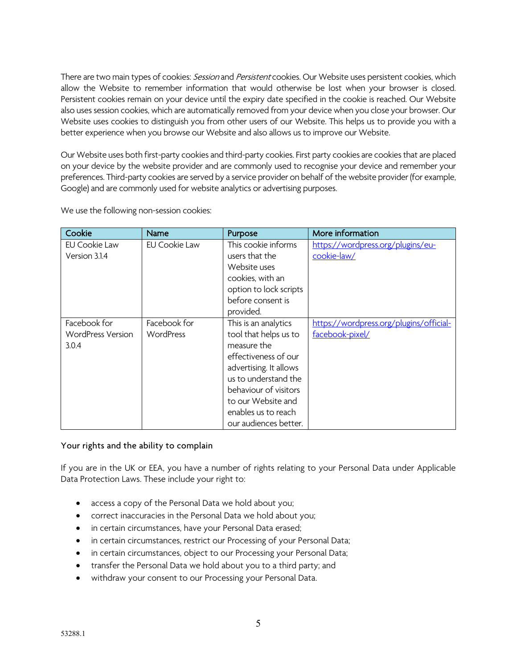There are two main types of cookies: Session and Persistent cookies. Our Website uses persistent cookies, which allow the Website to remember information that would otherwise be lost when your browser is closed. Persistent cookies remain on your device until the expiry date specified in the cookie is reached. Our Website also uses session cookies, which are automatically removed from your device when you close your browser. Our Website uses cookies to distinguish you from other users of our Website. This helps us to provide you with a better experience when you browse our Website and also allows us to improve our Website.

Our Website uses both first-party cookies and third-party cookies. First party cookies are cookies that are placed on your device by the website provider and are commonly used to recognise your device and remember your preferences. Third-party cookies are served by a service provider on behalf of the website provider (for example, Google) and are commonly used for website analytics or advertising purposes.

| Cookie                                            | <b>Name</b>               | Purpose                                                                                                                                                                                                                               | More information                                           |
|---------------------------------------------------|---------------------------|---------------------------------------------------------------------------------------------------------------------------------------------------------------------------------------------------------------------------------------|------------------------------------------------------------|
| <b>EU Cookie Law</b><br>Version 3.1.4             | EU Cookie Law             | This cookie informs<br>users that the<br>Website uses<br>cookies, with an<br>option to lock scripts<br>before consent is<br>provided.                                                                                                 | https://wordpress.org/plugins/eu-<br>cookie-law/           |
| Facebook for<br><b>WordPress Version</b><br>3.0.4 | Facebook for<br>WordPress | This is an analytics<br>tool that helps us to<br>measure the<br>effectiveness of our<br>advertising. It allows<br>us to understand the<br>behaviour of visitors<br>to our Website and<br>enables us to reach<br>our audiences better. | https://wordpress.org/plugins/official-<br>facebook-pixel/ |

We use the following non-session cookies:

## Your rights and the ability to complain

If you are in the UK or EEA, you have a number of rights relating to your Personal Data under Applicable Data Protection Laws. These include your right to:

- access a copy of the Personal Data we hold about you;
- correct inaccuracies in the Personal Data we hold about you;
- in certain circumstances, have your Personal Data erased;
- in certain circumstances, restrict our Processing of your Personal Data;
- in certain circumstances, object to our Processing your Personal Data;
- transfer the Personal Data we hold about you to a third party; and
- withdraw your consent to our Processing your Personal Data.